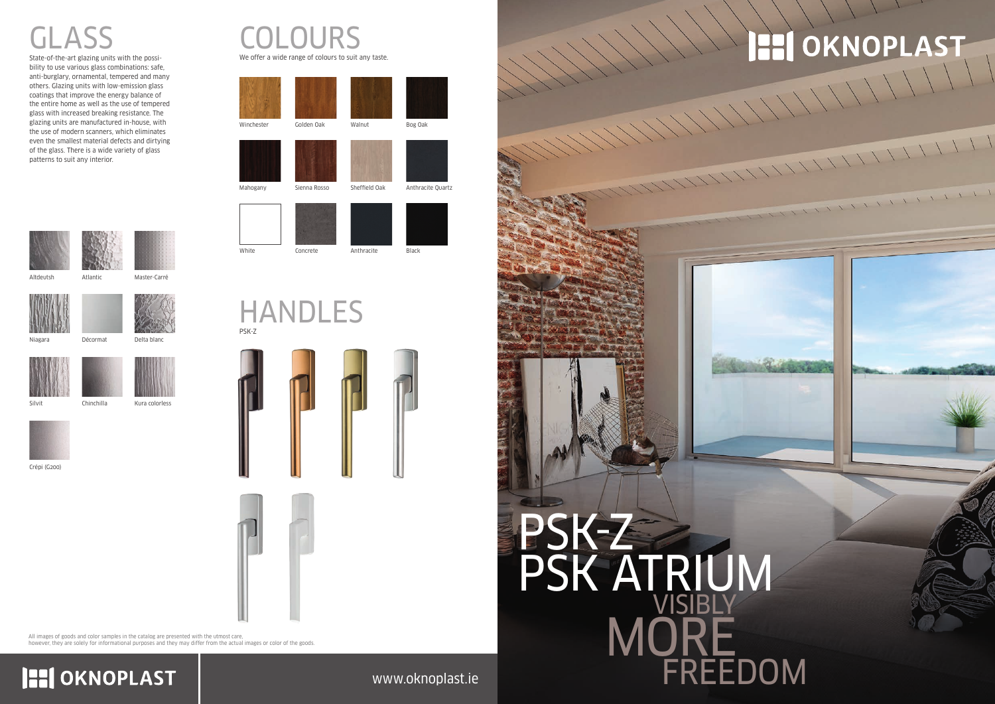#### www.oknoplast.ie

### HANDLES PSK-Z









All images of goods and color samples in the catalog are presented with the utmost care,

**HI OKNOPLAST** 

however, they are solely for informational purposes and they may differ from the actual images or color of the goods.



Niagara Décormat Delta blanc





Altdeutsh Atlantic Master-Carré







Crépi (G200)

Kura colorless



## GLASS

State-of-the-art glazing units with the possibility to use various glass combinations: safe, anti-burglary, ornamental, tempered and many others. Glazing units with low-emission glass coatings that improve the energy balance of the entire home as well as the use of tempered glass with increased breaking resistance. The glazing units are manufactured in-house, with the use of modern scanners, which eliminates even the smallest material defects and dirtying of the glass. There is a wide variety of glass patterns to suit any interior.



# PSK-Z PSK ATRIUM FREEDOM VISIBLY MORE